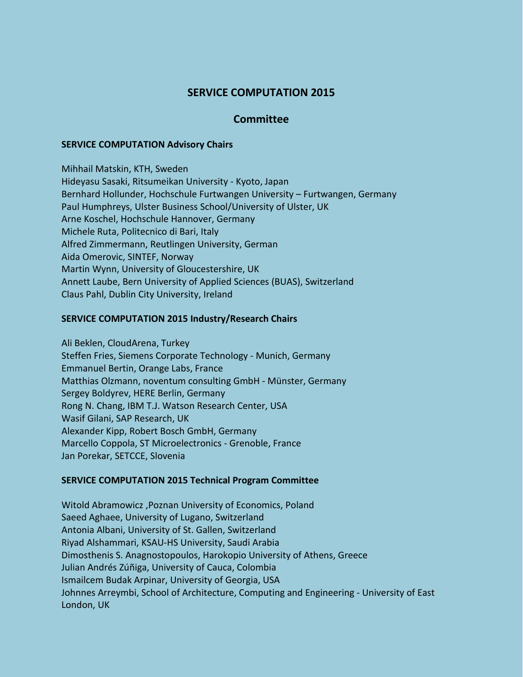# **SERVICE COMPUTATION 2015**

## **Committee**

#### **SERVICE COMPUTATION Advisory Chairs**

Mihhail Matskin, KTH, Sweden Hideyasu Sasaki, Ritsumeikan University - Kyoto, Japan Bernhard Hollunder, Hochschule Furtwangen University – Furtwangen, Germany Paul Humphreys, Ulster Business School/University of Ulster, UK Arne Koschel, Hochschule Hannover, Germany Michele Ruta, Politecnico di Bari, Italy Alfred Zimmermann, Reutlingen University, German Aida Omerovic, SINTEF, Norway Martin Wynn, University of Gloucestershire, UK Annett Laube, Bern University of Applied Sciences (BUAS), Switzerland Claus Pahl, Dublin City University, Ireland

#### **SERVICE COMPUTATION 2015 Industry/Research Chairs**

Ali Beklen, CloudArena, Turkey Steffen Fries, Siemens Corporate Technology - Munich, Germany Emmanuel Bertin, Orange Labs, France Matthias Olzmann, noventum consulting GmbH - Münster, Germany Sergey Boldyrev, HERE Berlin, Germany Rong N. Chang, IBM T.J. Watson Research Center, USA Wasif Gilani, SAP Research, UK Alexander Kipp, Robert Bosch GmbH, Germany Marcello Coppola, ST Microelectronics - Grenoble, France Jan Porekar, SETCCE, Slovenia

### **SERVICE COMPUTATION 2015 Technical Program Committee**

Witold Abramowicz ,Poznan University of Economics, Poland Saeed Aghaee, University of Lugano, Switzerland Antonia Albani, University of St. Gallen, Switzerland Riyad Alshammari, KSAU-HS University, Saudi Arabia Dimosthenis S. Anagnostopoulos, Harokopio University of Athens, Greece Julian Andrés Zúñiga, University of Cauca, Colombia Ismailcem Budak Arpinar, University of Georgia, USA Johnnes Arreymbi, School of Architecture, Computing and Engineering - University of East London, UK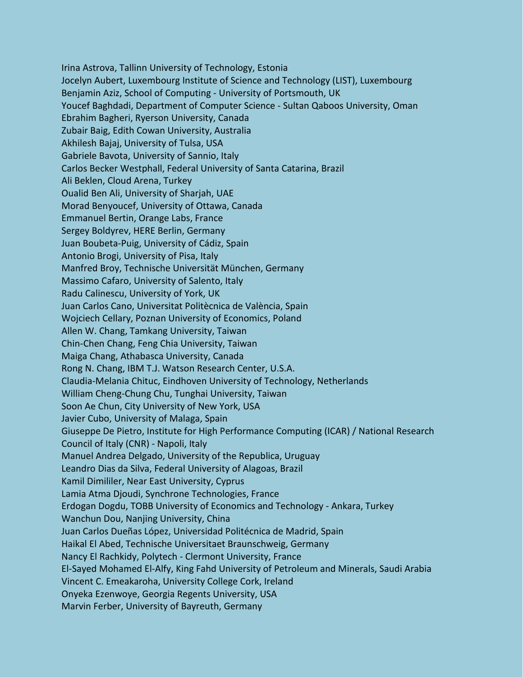Irina Astrova, Tallinn University of Technology, Estonia Jocelyn Aubert, Luxembourg Institute of Science and Technology (LIST), Luxembourg Benjamin Aziz, School of Computing - University of Portsmouth, UK Youcef Baghdadi, Department of Computer Science - Sultan Qaboos University, Oman Ebrahim Bagheri, Ryerson University, Canada Zubair Baig, Edith Cowan University, Australia Akhilesh Bajaj, University of Tulsa, USA Gabriele Bavota, University of Sannio, Italy Carlos Becker Westphall, Federal University of Santa Catarina, Brazil Ali Beklen, Cloud Arena, Turkey Oualid Ben Ali, University of Sharjah, UAE Morad Benyoucef, University of Ottawa, Canada Emmanuel Bertin, Orange Labs, France Sergey Boldyrev, HERE Berlin, Germany Juan Boubeta-Puig, University of Cádiz, Spain Antonio Brogi, University of Pisa, Italy Manfred Broy, Technische Universität München, Germany Massimo Cafaro, University of Salento, Italy Radu Calinescu, University of York, UK Juan Carlos Cano, Universitat Politècnica de València, Spain Wojciech Cellary, Poznan University of Economics, Poland Allen W. Chang, Tamkang University, Taiwan Chin-Chen Chang, Feng Chia University, Taiwan Maiga Chang, Athabasca University, Canada Rong N. Chang, IBM T.J. Watson Research Center, U.S.A. Claudia-Melania Chituc, Eindhoven University of Technology, Netherlands William Cheng-Chung Chu, Tunghai University, Taiwan Soon Ae Chun, City University of New York, USA Javier Cubo, University of Malaga, Spain Giuseppe De Pietro, Institute for High Performance Computing (ICAR) / National Research Council of Italy (CNR) - Napoli, Italy Manuel Andrea Delgado, University of the Republica, Uruguay Leandro Dias da Silva, Federal University of Alagoas, Brazil Kamil Dimililer, Near East University, Cyprus Lamia Atma Djoudi, Synchrone Technologies, France Erdogan Dogdu, TOBB University of Economics and Technology - Ankara, Turkey Wanchun Dou, Nanjing University, China Juan Carlos Dueñas López, Universidad Politécnica de Madrid, Spain Haikal El Abed, Technische Universitaet Braunschweig, Germany Nancy El Rachkidy, Polytech - Clermont University, France El-Sayed Mohamed El-Alfy, King Fahd University of Petroleum and Minerals, Saudi Arabia Vincent C. Emeakaroha, University College Cork, Ireland Onyeka Ezenwoye, Georgia Regents University, USA Marvin Ferber, University of Bayreuth, Germany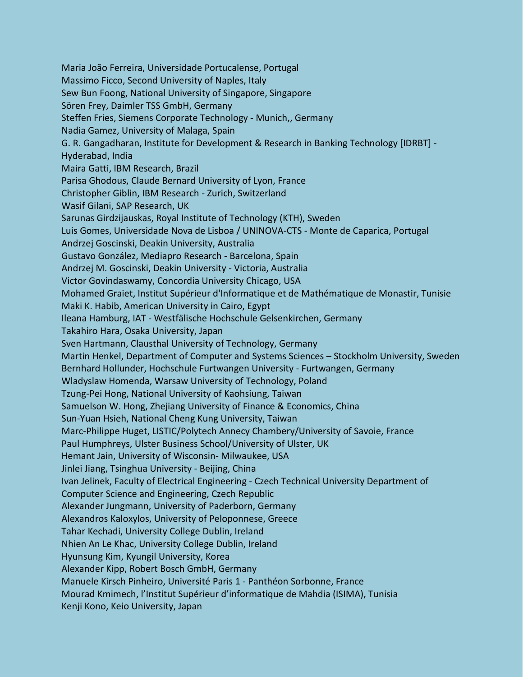Maria João Ferreira, Universidade Portucalense, Portugal Massimo Ficco, Second University of Naples, Italy Sew Bun Foong, National University of Singapore, Singapore Sören Frey, Daimler TSS GmbH, Germany Steffen Fries, Siemens Corporate Technology - Munich,, Germany Nadia Gamez, University of Malaga, Spain G. R. Gangadharan, Institute for Development & Research in Banking Technology [IDRBT] - Hyderabad, India Maira Gatti, IBM Research, Brazil Parisa Ghodous, Claude Bernard University of Lyon, France Christopher Giblin, IBM Research - Zurich, Switzerland Wasif Gilani, SAP Research, UK Sarunas Girdzijauskas, Royal Institute of Technology (KTH), Sweden Luis Gomes, Universidade Nova de Lisboa / UNINOVA-CTS - Monte de Caparica, Portugal Andrzej Goscinski, Deakin University, Australia Gustavo González, Mediapro Research - Barcelona, Spain Andrzej M. Goscinski, Deakin University - Victoria, Australia Victor Govindaswamy, Concordia University Chicago, USA Mohamed Graiet, Institut Supérieur d'Informatique et de Mathématique de Monastir, Tunisie Maki K. Habib, American University in Cairo, Egypt Ileana Hamburg, IAT - Westfälische Hochschule Gelsenkirchen, Germany Takahiro Hara, Osaka University, Japan Sven Hartmann, Clausthal University of Technology, Germany Martin Henkel, Department of Computer and Systems Sciences – Stockholm University, Sweden Bernhard Hollunder, Hochschule Furtwangen University - Furtwangen, Germany Wladyslaw Homenda, Warsaw University of Technology, Poland Tzung-Pei Hong, National University of Kaohsiung, Taiwan Samuelson W. Hong, Zhejiang University of Finance & Economics, China Sun-Yuan Hsieh, National Cheng Kung University, Taiwan Marc-Philippe Huget, LISTIC/Polytech Annecy Chambery/University of Savoie, France Paul Humphreys, Ulster Business School/University of Ulster, UK Hemant Jain, University of Wisconsin- Milwaukee, USA Jinlei Jiang, Tsinghua University - Beijing, China Ivan Jelinek, Faculty of Electrical Engineering - Czech Technical University Department of Computer Science and Engineering, Czech Republic Alexander Jungmann, University of Paderborn, Germany Alexandros Kaloxylos, University of Peloponnese, Greece Tahar Kechadi, University College Dublin, Ireland Nhien An Le Khac, University College Dublin, Ireland Hyunsung Kim, Kyungil University, Korea Alexander Kipp, Robert Bosch GmbH, Germany Manuele Kirsch Pinheiro, Université Paris 1 - Panthéon Sorbonne, France Mourad Kmimech, l'Institut Supérieur d'informatique de Mahdia (ISIMA), Tunisia Kenji Kono, Keio University, Japan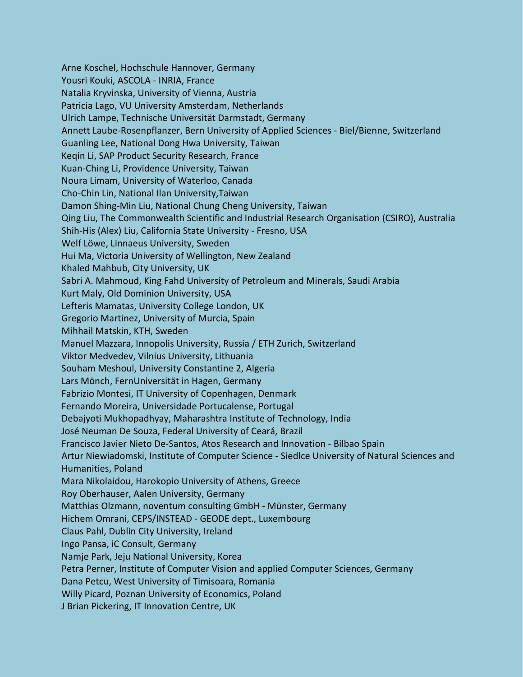Arne Koschel, Hochschule Hannover, Germany Yousri Kouki, ASCOLA - INRIA, France Natalia Kryvinska, University of Vienna, Austria Patricia Lago, VU University Amsterdam, Netherlands Ulrich Lampe, Technische Universität Darmstadt, Germany Annett Laube-Rosenpflanzer, Bern University of Applied Sciences - Biel/Bienne, Switzerland Guanling Lee, National Dong Hwa University, Taiwan Keqin Li, SAP Product Security Research, France Kuan-Ching Li, Providence University, Taiwan Noura Limam, University of Waterloo, Canada Cho-Chin Lin, National Ilan University,Taiwan Damon Shing-Min Liu, National Chung Cheng University, Taiwan Qing Liu, The Commonwealth Scientific and Industrial Research Organisation (CSIRO), Australia Shih-His (Alex) Liu, California State University - Fresno, USA Welf Löwe, Linnaeus University, Sweden Hui Ma, Victoria University of Wellington, New Zealand Khaled Mahbub, City University, UK Sabri A. Mahmoud, King Fahd University of Petroleum and Minerals, Saudi Arabia Kurt Maly, Old Dominion University, USA Lefteris Mamatas, University College London, UK Gregorio Martinez, University of Murcia, Spain Mihhail Matskin, KTH, Sweden Manuel Mazzara, Innopolis University, Russia / ETH Zurich, Switzerland Viktor Medvedev, Vilnius University, Lithuania Souham Meshoul, University Constantine 2, Algeria Lars Mönch, FernUniversität in Hagen, Germany Fabrizio Montesi, IT University of Copenhagen, Denmark Fernando Moreira, Universidade Portucalense, Portugal Debajyoti Mukhopadhyay, Maharashtra Institute of Technology, India José Neuman De Souza, Federal University of Ceará, Brazil Francisco Javier Nieto De-Santos, Atos Research and Innovation - Bilbao Spain Artur Niewiadomski, Institute of Computer Science - Siedlce University of Natural Sciences and Humanities, Poland Mara Nikolaidou, Harokopio University of Athens, Greece Roy Oberhauser, Aalen University, Germany Matthias Olzmann, noventum consulting GmbH - Münster, Germany Hichem Omrani, CEPS/INSTEAD - GEODE dept., Luxembourg Claus Pahl, Dublin City University, Ireland Ingo Pansa, iC Consult, Germany Namje Park, Jeju National University, Korea Petra Perner, Institute of Computer Vision and applied Computer Sciences, Germany Dana Petcu, West University of Timisoara, Romania Willy Picard, Poznan University of Economics, Poland J Brian Pickering, IT Innovation Centre, UK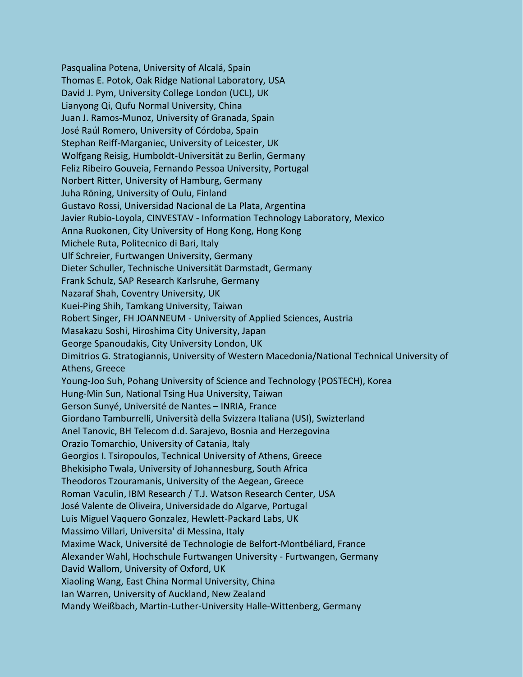Pasqualina Potena, University of Alcalá, Spain Thomas E. Potok, Oak Ridge National Laboratory, USA David J. Pym, University College London (UCL), UK Lianyong Qi, Qufu Normal University, China Juan J. Ramos-Munoz, University of Granada, Spain José Raúl Romero, University of Córdoba, Spain Stephan Reiff-Marganiec, University of Leicester, UK Wolfgang Reisig, Humboldt-Universität zu Berlin, Germany Feliz Ribeiro Gouveia, Fernando Pessoa University, Portugal Norbert Ritter, University of Hamburg, Germany Juha Röning, University of Oulu, Finland Gustavo Rossi, Universidad Nacional de La Plata, Argentina Javier Rubio-Loyola, CINVESTAV - Information Technology Laboratory, Mexico Anna Ruokonen, City University of Hong Kong, Hong Kong Michele Ruta, Politecnico di Bari, Italy Ulf Schreier, Furtwangen University, Germany Dieter Schuller, Technische Universität Darmstadt, Germany Frank Schulz, SAP Research Karlsruhe, Germany Nazaraf Shah, Coventry University, UK Kuei-Ping Shih, Tamkang University, Taiwan Robert Singer, FH JOANNEUM - University of Applied Sciences, Austria Masakazu Soshi, Hiroshima City University, Japan George Spanoudakis, City University London, UK Dimitrios G. Stratogiannis, University of Western Macedonia/National Technical University of Athens, Greece Young-Joo Suh, Pohang University of Science and Technology (POSTECH), Korea Hung-Min Sun, National Tsing Hua University, Taiwan Gerson Sunyé, Université de Nantes – INRIA, France Giordano Tamburrelli, Università della Svizzera Italiana (USI), Swizterland Anel Tanovic, BH Telecom d.d. Sarajevo, Bosnia and Herzegovina Orazio Tomarchio, University of Catania, Italy Georgios I. Tsiropoulos, Technical University of Athens, Greece Bhekisipho Twala, University of Johannesburg, South Africa Theodoros Tzouramanis, University of the Aegean, Greece Roman Vaculin, IBM Research / T.J. Watson Research Center, USA José Valente de Oliveira, Universidade do Algarve, Portugal Luis Miguel Vaquero Gonzalez, Hewlett-Packard Labs, UK Massimo Villari, Universita' di Messina, Italy Maxime Wack, Université de Technologie de Belfort-Montbéliard, France Alexander Wahl, Hochschule Furtwangen University - Furtwangen, Germany David Wallom, University of Oxford, UK Xiaoling Wang, East China Normal University, China Ian Warren, University of Auckland, New Zealand Mandy Weißbach, Martin-Luther-University Halle-Wittenberg, Germany